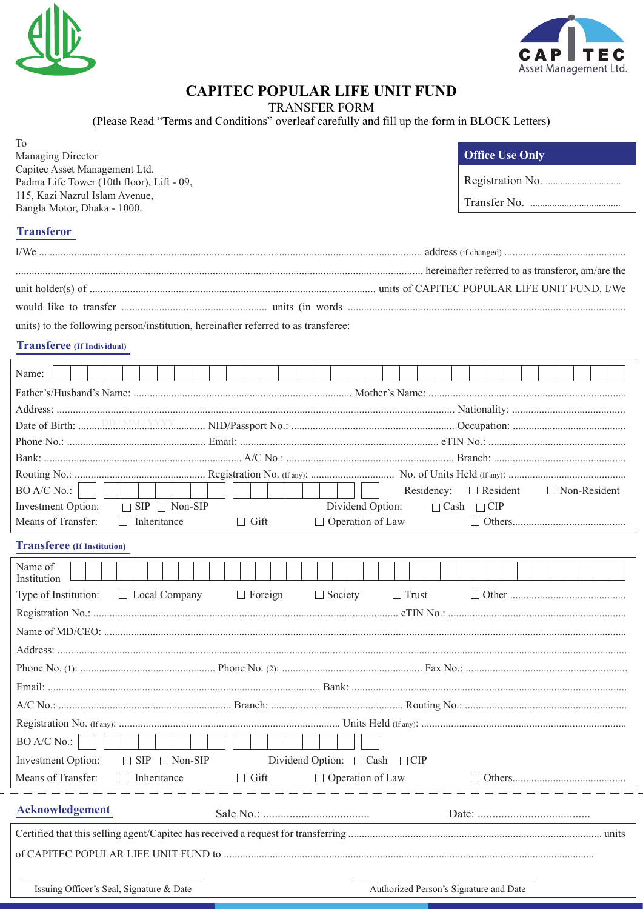



## **CAPITEC POPULAR LIFE UNIT FUND**

TRANSFER FORM<br>(Please Read "Terms and Conditions" overleaf carefully and fill up the form in BLOCK Letters)

| To<br>Managing Director<br>Capitec Asset Management Ltd.<br>Padma Life Tower (10th floor), Lift - 09,<br>115, Kazi Nazrul Islam Avenue,<br>Bangla Motor, Dhaka - 1000. | <b>Office Use Only</b>                 |
|------------------------------------------------------------------------------------------------------------------------------------------------------------------------|----------------------------------------|
| <b>Transferor</b>                                                                                                                                                      |                                        |
|                                                                                                                                                                        |                                        |
|                                                                                                                                                                        |                                        |
|                                                                                                                                                                        |                                        |
|                                                                                                                                                                        |                                        |
| units) to the following person/institution, hereinafter referred to as transferee:                                                                                     |                                        |
| <b>Transferee</b> (If Individual)                                                                                                                                      |                                        |
| Name:                                                                                                                                                                  |                                        |
|                                                                                                                                                                        |                                        |
|                                                                                                                                                                        |                                        |
|                                                                                                                                                                        |                                        |
|                                                                                                                                                                        |                                        |
|                                                                                                                                                                        |                                        |
|                                                                                                                                                                        |                                        |
| BO A/C No.:<br>Residency:                                                                                                                                              | $\Box$ Resident<br>$\Box$ Non-Resident |
| Investment Option:<br>$\Box$ SIP $\Box$ Non-SIP<br>Dividend Option:                                                                                                    | $\Box$ Cash $\Box$ CIP                 |
| $\Box$ Inheritance<br>Means of Transfer:<br>$\Box$ Operation of Law<br>$\Box$ Gift                                                                                     |                                        |
| <b>Transferee</b> (If Institution)                                                                                                                                     |                                        |
| Name of<br>Institution                                                                                                                                                 |                                        |
| $\Box$ Foreign<br>$\Box$ Society<br>$\Box$ Trust<br>Type of Institution:<br>$\Box$ Local Company                                                                       |                                        |
|                                                                                                                                                                        |                                        |
|                                                                                                                                                                        |                                        |
|                                                                                                                                                                        |                                        |
|                                                                                                                                                                        |                                        |
|                                                                                                                                                                        |                                        |
|                                                                                                                                                                        |                                        |
|                                                                                                                                                                        |                                        |
| <b>BO A/C No.:</b>                                                                                                                                                     |                                        |
| Investment Option:<br>$\Box$ SIP $\Box$ Non-SIP<br>Dividend Option: □ Cash □ CIP                                                                                       |                                        |
| Means of Transfer:<br>$\Box$ Inheritance<br>□ Operation of Law<br>$\Box$ Gift                                                                                          |                                        |
|                                                                                                                                                                        |                                        |
| Acknowledgement                                                                                                                                                        |                                        |
|                                                                                                                                                                        |                                        |
|                                                                                                                                                                        |                                        |
|                                                                                                                                                                        |                                        |
| Issuing Officer's Seal, Signature & Date<br>Authorized Person's Signature and Date                                                                                     |                                        |